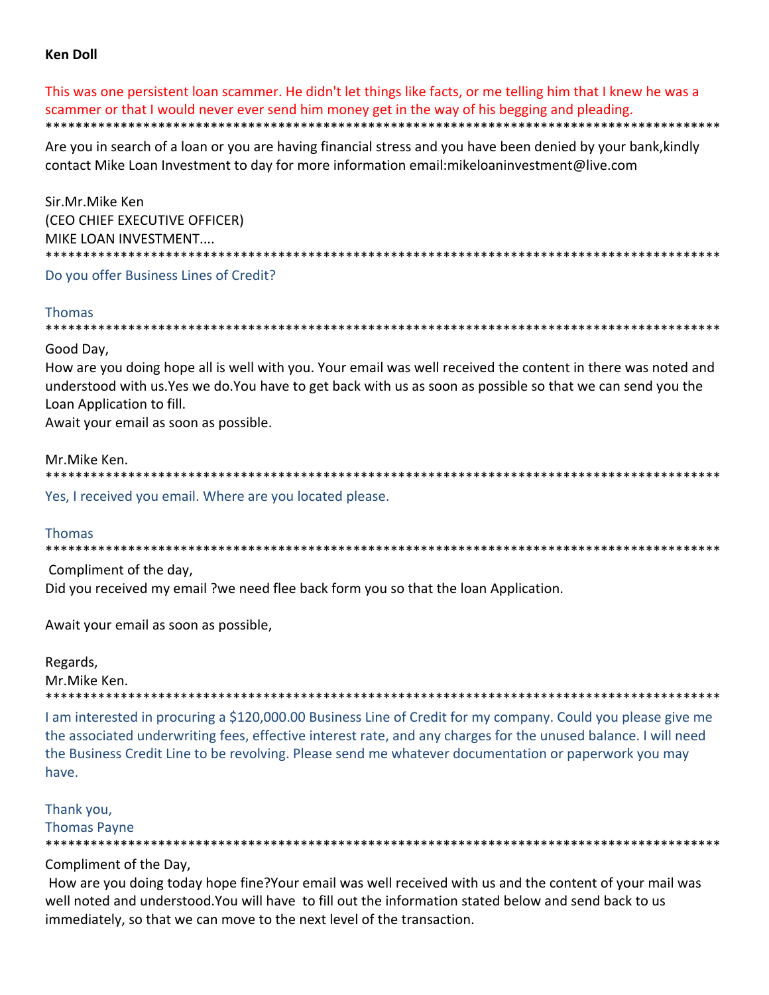# **Ken Doll**

This was one persistent loan scammer. He didn't let things like facts, or me telling him that I knew he was a scammer or that I would never ever send him money get in the way of his begging and pleading. 

Are you in search of a loan or you are having financial stress and you have been denied by your bank, kindly contact Mike Loan Investment to day for more information email: mikeloaninvestment@live.com

Sir.Mr.Mike Ken (CEO CHIEF EXECUTIVE OFFICER) MIKE LOAN INVESTMENT.... 

Do you offer Business Lines of Credit?

# **Thomas**

\*\*\*\*\*\*\*\*\*\*\* 

Good Day,

How are you doing hope all is well with you. Your email was well received the content in there was noted and understood with us. Yes we do. You have to get back with us as soon as possible so that we can send you the Loan Application to fill.

Await your email as soon as possible.

# Mr.Mike Ken.

Yes, I received you email. Where are you located please.

# **Thomas**

Compliment of the day.

Did you received my email ?we need flee back form you so that the loan Application.

Await your email as soon as possible,

Regards, Mr.Mike Ken.

\*\*\*\*\*\*\*\*\*\*\*\*\*\*\*\*\*\*\*\*\*\*\*\*\*\*\*\*\*\*\*\*\*\*

I am interested in procuring a \$120,000.00 Business Line of Credit for my company. Could you please give me the associated underwriting fees, effective interest rate, and any charges for the unused balance. I will need the Business Credit Line to be revolving. Please send me whatever documentation or paperwork you may have.

Thank you,

**Thomas Payne** 

Compliment of the Day,

How are you doing today hope fine?Your email was well received with us and the content of your mail was well noted and understood. You will have to fill out the information stated below and send back to us immediately, so that we can move to the next level of the transaction.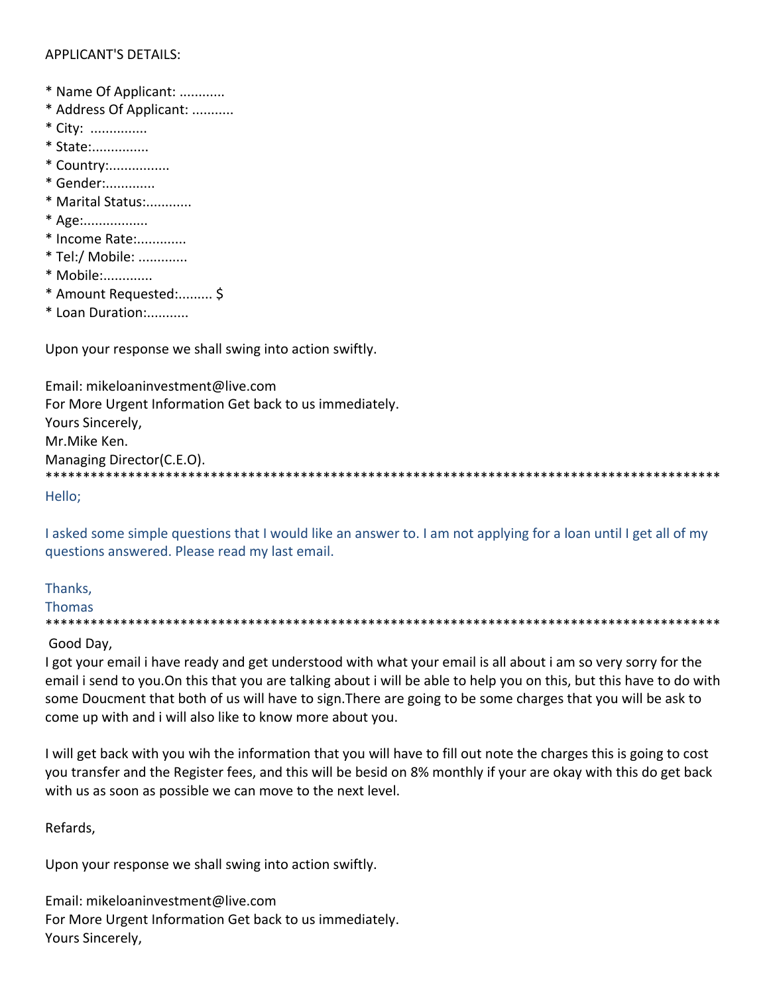# **APPLICANT'S DETAILS:**

- \* Name Of Applicant: ............
- \* Address Of Applicant: ...........
- \* City: ...............
- \* State:...............
- \* Country:................
- \* Gender:.............
- \* Marital Status:............
- \* Age:.................
- \* Income Rate:.............
- \* Tel:/ Mobile: .............
- \* Mobile:.............
- \* Amount Requested:......... \$
- \* Loan Duration:...........

Upon your response we shall swing into action swiftly.

Email: mikeloaninvestment@live.com For More Urgent Information Get back to us immediately. Yours Sincerely. Mr.Mike Ken. Managing Director(C.E.O). 

Hello;

I asked some simple questions that I would like an answer to. I am not applying for a loan until I get all of my questions answered. Please read my last email.

Thanks, **Thomas** 

# Good Day,

I got your email i have ready and get understood with what your email is all about i am so very sorry for the email i send to you. On this that you are talking about i will be able to help you on this, but this have to do with some Doucment that both of us will have to sign. There are going to be some charges that you will be ask to come up with and i will also like to know more about you.

I will get back with you wih the information that you will have to fill out note the charges this is going to cost you transfer and the Register fees, and this will be besid on 8% monthly if your are okay with this do get back with us as soon as possible we can move to the next level.

# Refards,

Upon your response we shall swing into action swiftly.

Email: mikeloaninvestment@live.com For More Urgent Information Get back to us immediately. Yours Sincerely,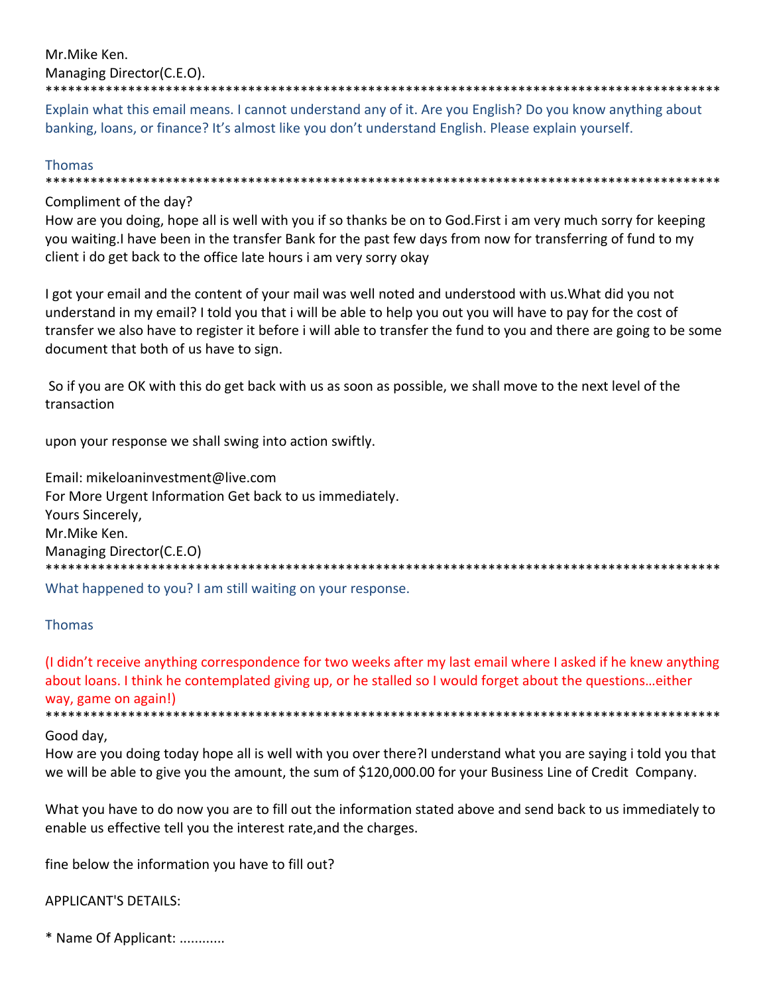Mr.Mike Ken. Managing Director(C.E.O).

\*\*\*\*\*\*\*\*\*\*\*\*\*\*\*\*\*\*\*\*\*\*\*\*\*\*\*\*\*\*\*\*\*\*\*\*\*\*\*\*\*\*\*\*\*\*\*\*\*\*\*\*\*\*\*\*\*\*\*\*\*\*\*\*\*\*\*\*\*\*\*\*\*\*\*\*\*\*\*\*\*\*\*\*\*\*\*\*\*\*

Explain what this email means. I cannot understand any of it. Are you English? Do you know anything about banking, loans, or finance? It's almost like you don't understand English. Please explain yourself.

## Thomas

\*\*\*\*\*\*\*\*\*\*\*\*\*\*\*\*\*\*\*\*\*\*\*\*\*\*\*\*\*\*\*\*\*\*\*\*\*\*\*\*\*\*\*\*\*\*\*\*\*\*\*\*\*\*\*\*\*\*\*\*\*\*\*\*\*\*\*\*\*\*\*\*\*\*\*\*\*\*\*\*\*\*\*\*\*\*\*\*\*\*

# Compliment of the day?

How are you doing, hope all is well with you if so thanks be on to God.First i am very much sorry for keeping you waiting.I have been in the transfer Bank for the past few days from now for transferring of fund to my client i do get back to the office late hours i am very sorry okay

I got your email and the content of your mail was well noted and understood with us.What did you not understand in my email? I told you that i will be able to help you out you will have to pay for the cost of transfer we also have to register it before i will able to transfer the fund to you and there are going to be some document that both of us have to sign.

So if you are OK with this do get back with us as soon as possible, we shall move to the next level of the transaction

upon your response we shall swing into action swiftly.

Email: mikeloaninvestment@live.com For More Urgent Information Get back to us immediately. Yours Sincerely, Mr.Mike Ken. Managing Director(C.E.O) \*\*\*\*\*\*\*\*\*\*\*\*\*\*\*\*\*\*\*\*\*\*\*\*\*\*\*\*\*\*\*\*\*\*\*\*\*\*\*\*\*\*\*\*\*\*\*\*\*\*\*\*\*\*\*\*\*\*\*\*\*\*\*\*\*\*\*\*\*\*\*\*\*\*\*\*\*\*\*\*\*\*\*\*\*\*\*\*\*\*

What happened to you? I am still waiting on your response.

# Thomas

(I didn't receive anything correspondence for two weeks after my last email where I asked if he knew anything about loans. I think he contemplated giving up, or he stalled so I would forget about the questions…either way, game on again!) \*\*\*\*\*\*\*\*\*\*\*\*\*\*\*\*\*\*\*\*\*\*\*\*\*\*\*\*\*\*\*\*\*\*\*\*\*\*\*\*\*\*\*\*\*\*\*\*\*\*\*\*\*\*\*\*\*\*\*\*\*\*\*\*\*\*\*\*\*\*\*\*\*\*\*\*\*\*\*\*\*\*\*\*\*\*\*\*\*\*

# Good day,

How are you doing today hope all is well with you over there?I understand what you are saying i told you that we will be able to give you the amount, the sum of \$120,000.00 for your Business Line of Credit Company.

What you have to do now you are to fill out the information stated above and send back to us immediately to enable us effective tell you the interest rate,and the charges.

fine below the information you have to fill out?

# APPLICANT'S DETAILS:

\* Name Of Applicant: ............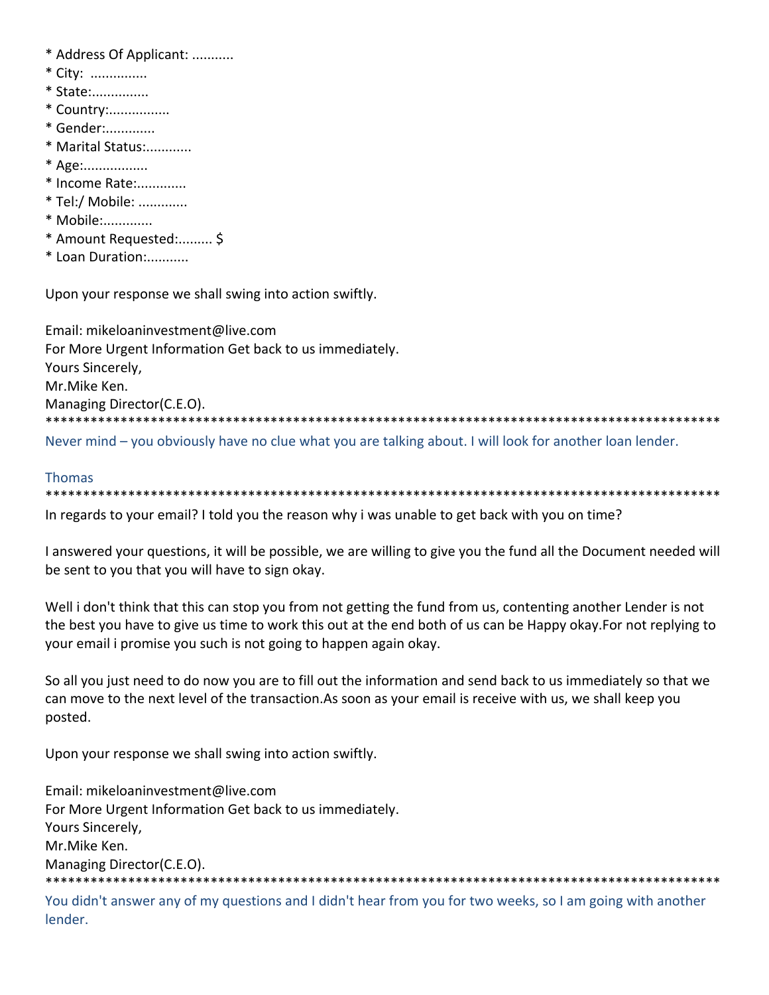- \* Address Of Applicant: ...........
- \* City: ...............
- \* State:...............
- \* Country:................
- \* Gender:.............
- \* Marital Status:............
- \* Age:..................
- \* Income Rate:.............
- \* Tel:/ Mobile: .............
- \* Mobile:.............
- \* Amount Requested:......... \$
- \* Loan Duration:...........

Upon your response we shall swing into action swiftly.

Email: mikeloaninvestment@live.com For More Urgent Information Get back to us immediately. Yours Sincerely, Mr.Mike Ken. Managing Director(C.E.O). 

Never mind – you obviously have no clue what you are talking about. I will look for another loan lender.

# **Thomas**

In regards to your email? I told you the reason why i was unable to get back with you on time?

I answered your questions, it will be possible, we are willing to give you the fund all the Document needed will be sent to you that you will have to sign okay.

Well i don't think that this can stop you from not getting the fund from us, contenting another Lender is not the best you have to give us time to work this out at the end both of us can be Happy okay. For not replying to your email i promise you such is not going to happen again okay.

So all you just need to do now you are to fill out the information and send back to us immediately so that we can move to the next level of the transaction. As soon as your email is receive with us, we shall keep you posted.

Upon your response we shall swing into action swiftly.

Email: mikeloaninvestment@live.com For More Urgent Information Get back to us immediately. Yours Sincerely, Mr.Mike Ken. Managing Director(C.E.O). 

You didn't answer any of my questions and I didn't hear from you for two weeks, so I am going with another lender.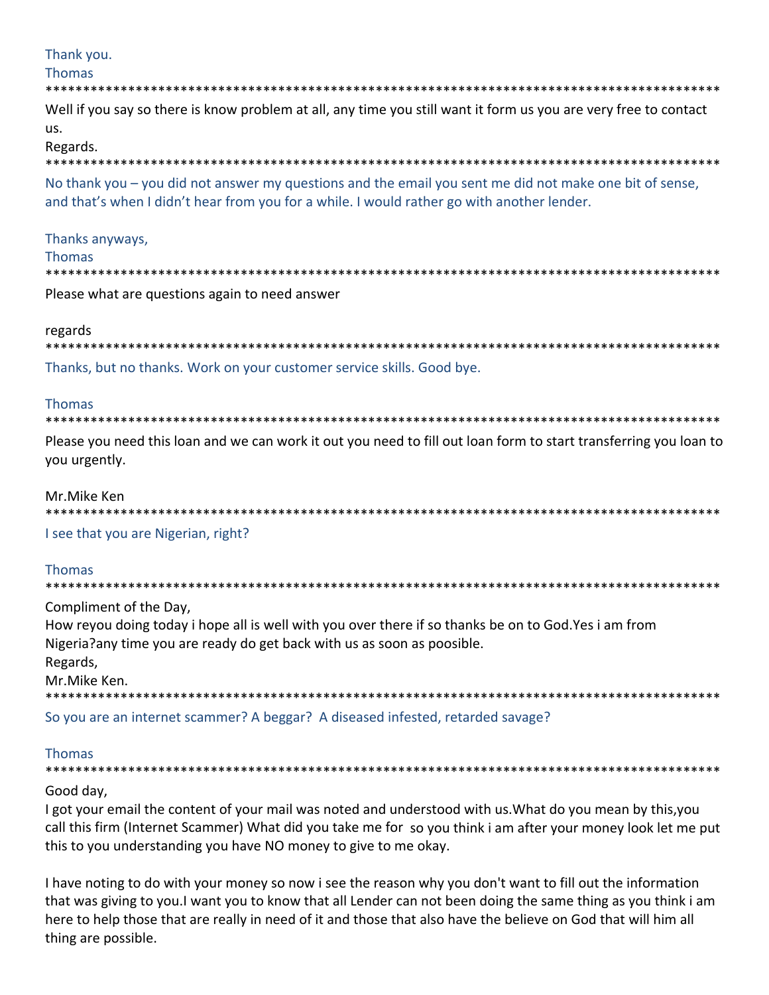# Thank you.

## **Thomas**

#### \*\*\*\*\*\*\*\*\*\*\*\*\*\*\*\*\*\*

Well if you say so there is know problem at all, any time you still want it form us you are very free to contact us.

#### Regards.

\*\*\*\*\*\*\*\*\*\*

No thank you – you did not answer my questions and the email you sent me did not make one bit of sense, and that's when I didn't hear from you for a while. I would rather go with another lender.

## Thanks anyways,

#### **Thomas**

Please what are questions again to need answer

# regards

| Thanks, but no thanks. Work on your customer service skills. Good bye. |
|------------------------------------------------------------------------|

# **Thomas**

#### 

Please you need this loan and we can work it out you need to fill out loan form to start transferring you loan to you urgently.

## Mr.Mike Ken

I see that you are Nigerian, right?

# **Thomas**

Compliment of the Day,

How reyou doing today i hope all is well with you over there if so thanks be on to God. Yes i am from Nigeria?any time you are ready do get back with us as soon as poosible. Regards, Mr.Mike Ken. \*\*\*\*\*\*\*\*\*\*\*\*\*\*\*\*\*\*\*\*\*\*\*\*\*\*\*\*\*\*\*\*

So you are an internet scammer? A beggar? A diseased infested, retarded savage?

# **Thomas**

#### 

# Good day,

I got your email the content of your mail was noted and understood with us. What do you mean by this, you call this firm (Internet Scammer) What did you take me for so you think i am after your money look let me put this to you understanding you have NO money to give to me okay.

I have noting to do with your money so now i see the reason why you don't want to fill out the information that was giving to you. I want you to know that all Lender can not been doing the same thing as you think i am here to help those that are really in need of it and those that also have the believe on God that will him all thing are possible.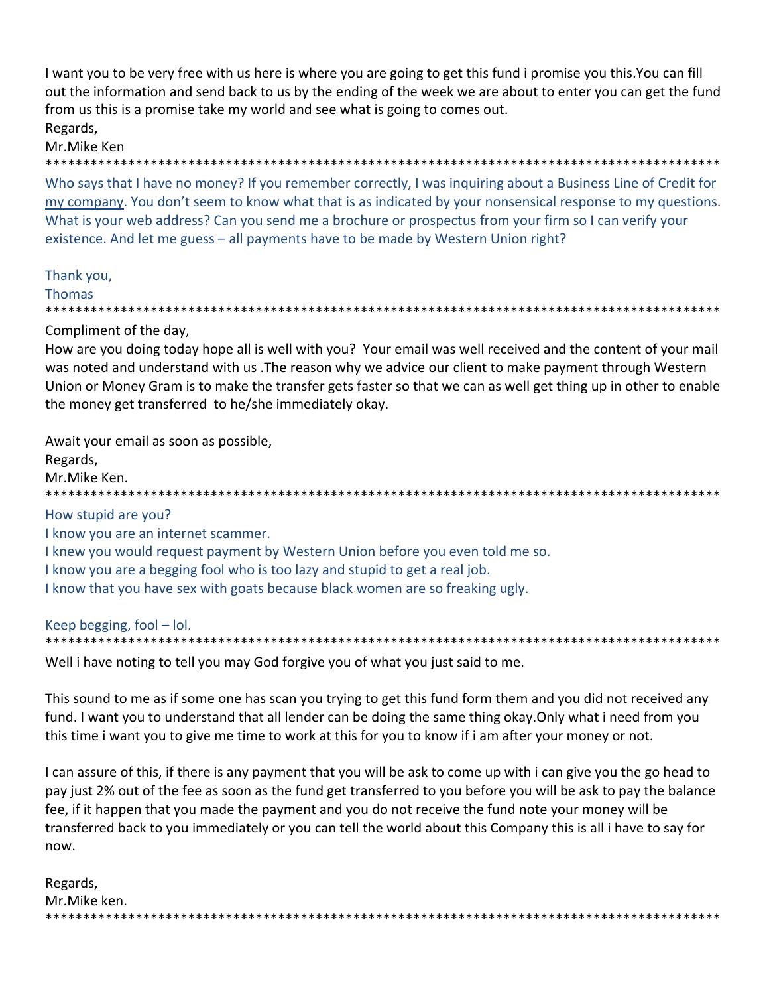I want you to be very free with us here is where you are going to get this fund i promise you this. You can fill out the information and send back to us by the ending of the week we are about to enter you can get the fund from us this is a promise take my world and see what is going to comes out. Regards,

#### Mr.Mike Ken **\*\*\*\*\*\*\*\*\*\*\*\*\***

Who says that I have no money? If you remember correctly, I was inquiring about a Business Line of Credit for my company. You don't seem to know what that is as indicated by your nonsensical response to my questions. What is your web address? Can you send me a brochure or prospectus from your firm so I can verify your existence. And let me guess - all payments have to be made by Western Union right?

#### Thank you,

#### **Thomas**

Compliment of the day,

How are you doing today hope all is well with you? Your email was well received and the content of your mail was noted and understand with us . The reason why we advice our client to make payment through Western Union or Money Gram is to make the transfer gets faster so that we can as well get thing up in other to enable the money get transferred to he/she immediately okay.

Await your email as soon as possible, Regards, Mr.Mike Ken. How stupid are you? I know you are an internet scammer. I knew you would request payment by Western Union before you even told me so. I know you are a begging fool who is too lazy and stupid to get a real job.

I know that you have sex with goats because black women are so freaking ugly.

#### Keep begging, fool  $-$  lol. \*\*\*\*\*\*\*\*\*\*\*

Well i have noting to tell you may God forgive you of what you just said to me.

This sound to me as if some one has scan you trying to get this fund form them and you did not received any fund. I want you to understand that all lender can be doing the same thing okay. Only what i need from you this time i want you to give me time to work at this for you to know if i am after your money or not.

I can assure of this, if there is any payment that you will be ask to come up with i can give you the go head to pay just 2% out of the fee as soon as the fund get transferred to you before you will be ask to pay the balance fee, if it happen that you made the payment and you do not receive the fund note your money will be transferred back to you immediately or you can tell the world about this Company this is all i have to say for now.

| Regards,     |
|--------------|
| Mr.Mike ken. |
|              |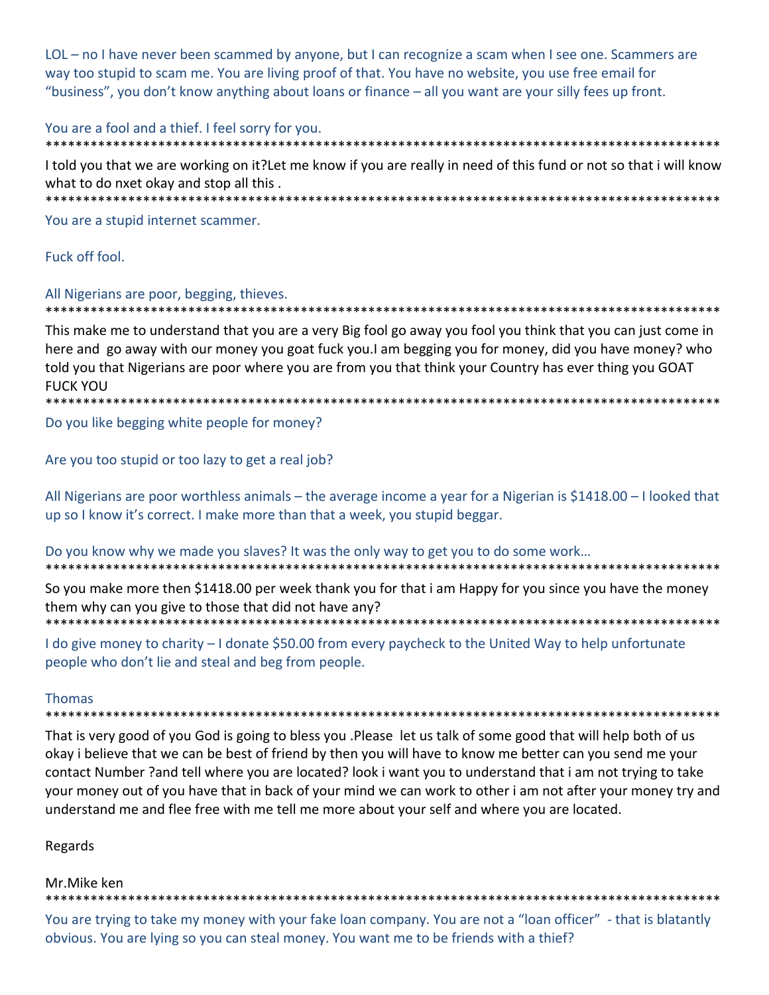LOL - no I have never been scammed by anyone, but I can recognize a scam when I see one. Scammers are way too stupid to scam me. You are living proof of that. You have no website, you use free email for "business", you don't know anything about loans or finance – all you want are your silly fees up front.

#### You are a fool and a thief. I feel sorry for you.

I told you that we are working on it?Let me know if you are really in need of this fund or not so that i will know what to do nxet okay and stop all this.

\*\*\*\*\*\*\*\*\*\*\*\*\*\*\*\*\*\*\*\*\*\*\*\*\*\*\*\*\*\*\*\*\*\*\*\*\*\*

You are a stupid internet scammer.

\*\*\*\*\*\*\*\*\*\*\*\*\*\*\*\*\*\*\*\*\*\*\*\*\*\*\*

Fuck off fool.

#### All Nigerians are poor, begging, thieves.

\*\*\*\*\*\*\*\*\*\*\*\*\*\*\*\*\*\*

This make me to understand that you are a very Big fool go away you fool you think that you can just come in here and go away with our money you goat fuck you. I am begging you for money, did you have money? who told you that Nigerians are poor where you are from you that think your Country has ever thing you GOAT **FUCK YOU** 

\*\*\*\*\*\*\*\*\*\*\*\*\*\*\*\*\*\*\*\*\*\*\*\*\*\*\*\*\*\*\*\*\*

Do you like begging white people for money?

Are you too stupid or too lazy to get a real job?

All Nigerians are poor worthless animals – the average income a year for a Nigerian is \$1418.00 – I looked that up so I know it's correct. I make more than that a week, you stupid beggar.

Do you know why we made you slaves? It was the only way to get you to do some work...

So you make more then \$1418.00 per week thank you for that i am Happy for you since you have the money them why can you give to those that did not have any?

I do give money to charity – I donate \$50.00 from every paycheck to the United Way to help unfortunate people who don't lie and steal and beg from people.

#### **Thomas**

That is very good of you God is going to bless you .Please let us talk of some good that will help both of us okay i believe that we can be best of friend by then you will have to know me better can you send me your contact Number ?and tell where you are located? look i want you to understand that i am not trying to take your money out of you have that in back of your mind we can work to other i am not after your money try and understand me and flee free with me tell me more about your self and where you are located.

#### Regards

#### Mr.Mike ken

You are trying to take my money with your fake loan company. You are not a "loan officer" - that is blatantly obvious. You are lying so you can steal money. You want me to be friends with a thief?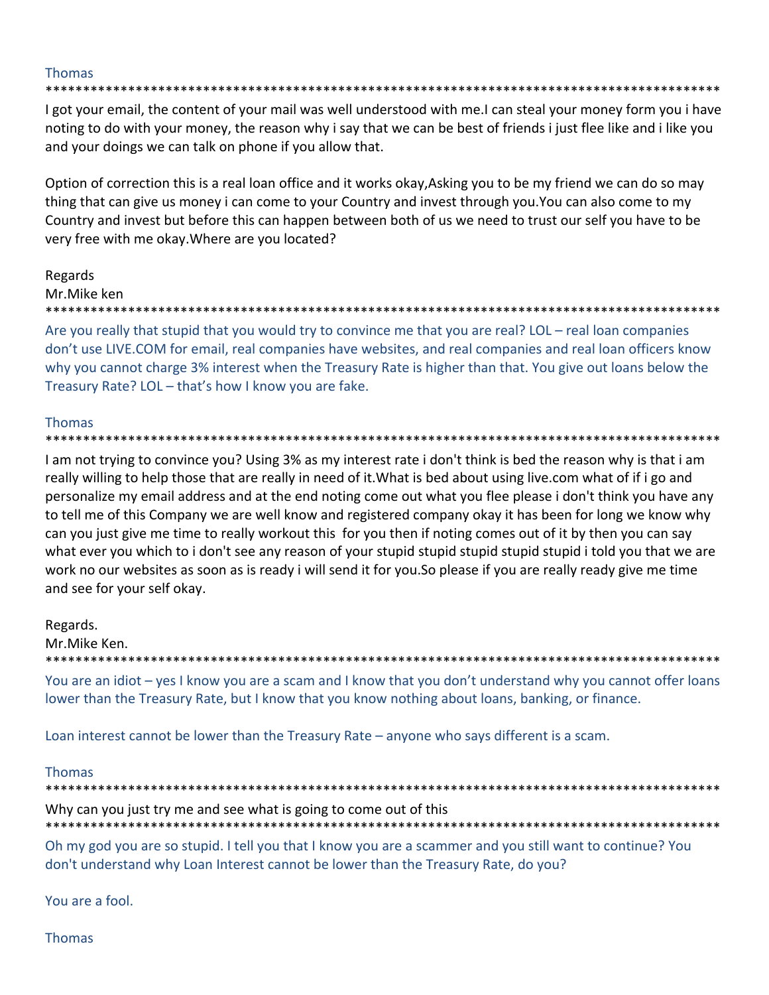## **Thomas**

I got your email, the content of your mail was well understood with me.I can steal your money form you i have noting to do with your money, the reason why i say that we can be best of friends i just flee like and i like you and your doings we can talk on phone if you allow that.

Option of correction this is a real loan office and it works okay, Asking you to be my friend we can do so may thing that can give us money i can come to your Country and invest through you. You can also come to my Country and invest but before this can happen between both of us we need to trust our self you have to be very free with me okay. Where are you located?

# Regards

#### Mr.Mike ken

#### \*\*\*\*\*\*\*\*\*\*\*\*\*\*\*\*\*

Are you really that stupid that you would try to convince me that you are real? LOL - real loan companies don't use LIVE.COM for email, real companies have websites, and real companies and real loan officers know why you cannot charge 3% interest when the Treasury Rate is higher than that. You give out loans below the Treasury Rate? LOL - that's how I know you are fake.

# **Thomas**

#### \*\*\*\*\*\*\*\*

I am not trying to convince you? Using 3% as my interest rate i don't think is bed the reason why is that i am really willing to help those that are really in need of it. What is bed about using live.com what of if i go and personalize my email address and at the end noting come out what you flee please i don't think you have any to tell me of this Company we are well know and registered company okay it has been for long we know why can you just give me time to really workout this for you then if noting comes out of it by then you can say what ever you which to i don't see any reason of your stupid stupid stupid stupid stupid i told you that we are work no our websites as soon as is ready i will send it for you. So please if you are really ready give me time and see for your self okay.

#### Regards.

Mr.Mike Ken.

You are an idiot – yes I know you are a scam and I know that you don't understand why you cannot offer loans

lower than the Treasury Rate, but I know that you know nothing about loans, banking, or finance.

Loan interest cannot be lower than the Treasury Rate – anyone who says different is a scam.

#### **Thomas**

\*\*\*\*\*\*\*\*\*\*\*\*\*\*\* Why can you just try me and see what is going to come out of this

Oh my god you are so stupid. I tell you that I know you are a scammer and you still want to continue? You don't understand why Loan Interest cannot be lower than the Treasury Rate, do you?

You are a fool.

**Thomas**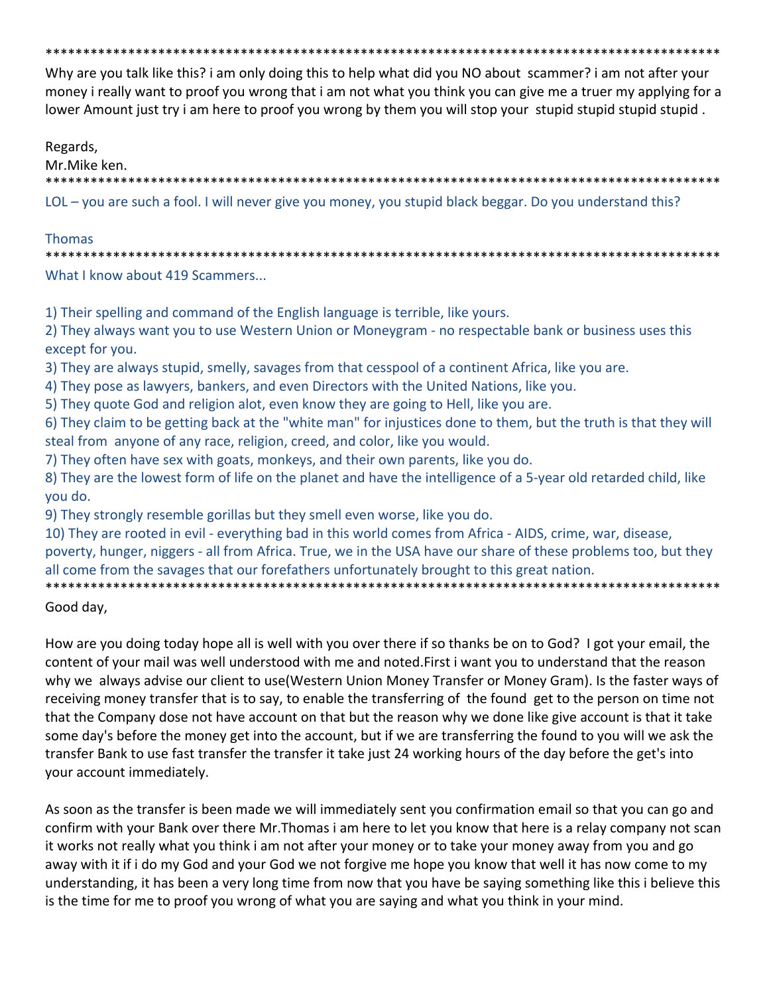Why are you talk like this? i am only doing this to help what did you NO about scammer? i am not after your money i really want to proof you wrong that i am not what you think you can give me a truer my applying for a lower Amount just try i am here to proof you wrong by them you will stop your stupid stupid stupid stupid.

Regards,

Mr.Mike ken. LOL – you are such a fool. I will never give you money, you stupid black beggar. Do you understand this?

## **Thomas**

\*\*\*\*\*\*\*\*\*\*\*\*\*\*\*\*\*\*\*\*\*\* 

What I know about 419 Scammers...

1) Their spelling and command of the English language is terrible, like yours.

2) They always want you to use Western Union or Moneygram - no respectable bank or business uses this except for you.

3) They are always stupid, smelly, savages from that cesspool of a continent Africa, like you are.

4) They pose as lawyers, bankers, and even Directors with the United Nations, like you.

5) They quote God and religion alot, even know they are going to Hell, like you are.

6) They claim to be getting back at the "white man" for injustices done to them, but the truth is that they will steal from anyone of any race, religion, creed, and color, like you would.

7) They often have sex with goats, monkeys, and their own parents, like you do.

8) They are the lowest form of life on the planet and have the intelligence of a 5-year old retarded child, like you do.

9) They strongly resemble gorillas but they smell even worse, like you do.

10) They are rooted in evil - everything bad in this world comes from Africa - AIDS, crime, war, disease,

poverty, hunger, niggers - all from Africa. True, we in the USA have our share of these problems too, but they all come from the savages that our forefathers unfortunately brought to this great nation.

Good day,

How are you doing today hope all is well with you over there if so thanks be on to God? I got your email, the content of your mail was well understood with me and noted. First i want you to understand that the reason why we always advise our client to use (Western Union Money Transfer or Money Gram). Is the faster ways of receiving money transfer that is to say, to enable the transferring of the found get to the person on time not that the Company dose not have account on that but the reason why we done like give account is that it take some day's before the money get into the account, but if we are transferring the found to you will we ask the transfer Bank to use fast transfer the transfer it take just 24 working hours of the day before the get's into your account immediately.

As soon as the transfer is been made we will immediately sent you confirmation email so that you can go and confirm with your Bank over there Mr. Thomas i am here to let you know that here is a relay company not scan it works not really what you think i am not after your money or to take your money away from you and go away with it if i do my God and your God we not forgive me hope you know that well it has now come to my understanding, it has been a very long time from now that you have be saying something like this i believe this is the time for me to proof you wrong of what you are saying and what you think in your mind.